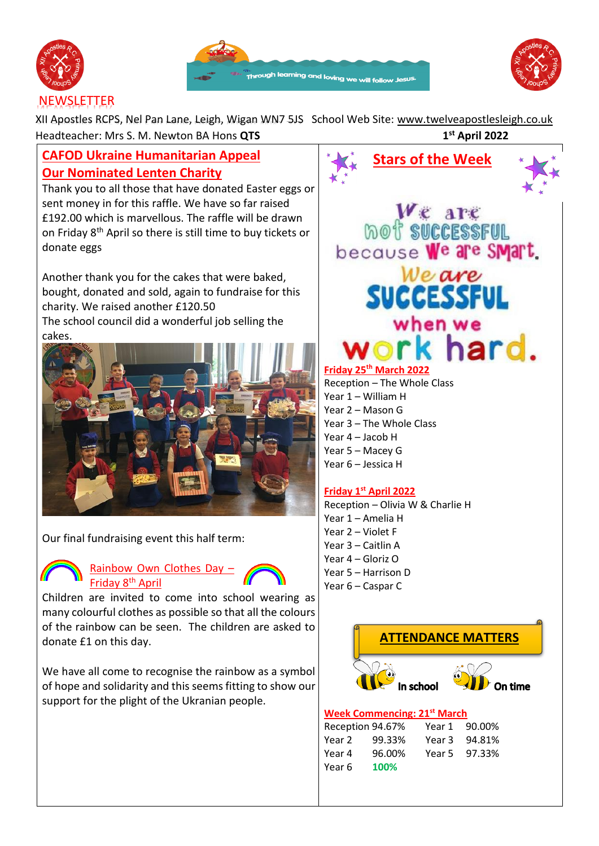





XII Apostles RCPS, Nel Pan Lane, Leigh, Wigan WN7 5JS School Web Site: [www.twelveapostlesleigh.co.uk](http://www.twelveapostlesleigh.co.uk/)  Headteacher: Mrs S. M. Newton BA Hons **QTS 1 st April 2022**

# **CAFOD Ukraine Humanitarian Appeal Our Nominated Lenten Charity**

Thank you to all those that have donated Easter eggs or sent money in for this raffle. We have so far raised £192.00 which is marvellous. The raffle will be drawn on Friday 8<sup>th</sup> April so there is still time to buy tickets or donate eggs

Another thank you for the cakes that were baked, bought, donated and sold, again to fundraise for this charity. We raised another £120.50 The school council did a wonderful job selling the cakes.



Our final fundraising event this half term:



## Rainbow Own Clothes Day -Friday 8th April

Children are invited to come into school wearing as many colourful clothes as possible so that all the colours of the rainbow can be seen. The children are asked to donate £1 on this day.

We have all come to recognise the rainbow as a symbol of hope and solidarity and this seems fitting to show our support for the plight of the Ukranian people.



Year 1 – William H Year 2 – Mason G Year 3 – The Whole Class Year 4 – Jacob H Year 5 – Macey G Year 6 – Jessica H

# **Friday 1st April 2022**

Reception – Olivia W & Charlie H Year 1 – Amelia H Year 2 – Violet F Year 3 – Caitlin A Year 4 – Gloriz O Year 5 – Harrison D Year 6 – Caspar C



#### **Week Commencing: 21st March**

| Reception 94.67% |        | Year 1 | 90.00% |
|------------------|--------|--------|--------|
| Year 2           | 99.33% | Year 3 | 94.81% |
| Year 4           | 96.00% | Year 5 | 97.33% |
| Year 6           | 100%   |        |        |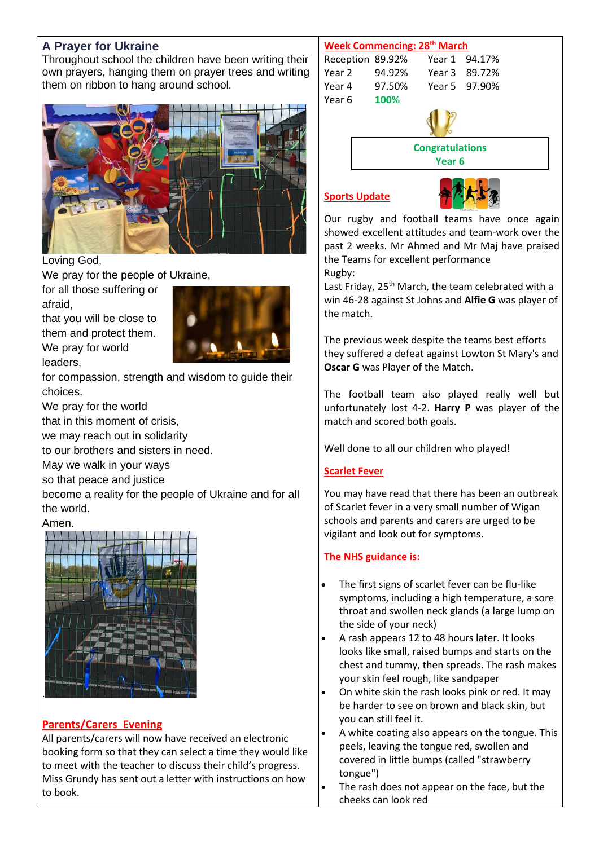# **A Prayer for Ukraine**

Throughout school the children have been writing their own prayers, hanging them on prayer trees and writing them on ribbon to hang around school.



#### Loving God,

leaders,

We pray for the people of Ukraine,

for all those suffering or afraid,

that you will be close to them and protect them. We pray for world



for compassion, strength and wisdom to guide their choices.

We pray for the world

that in this moment of crisis,

we may reach out in solidarity

to our brothers and sisters in need.

May we walk in your ways

so that peace and justice

become a reality for the people of Ukraine and for all the world.

## Amen.



# **Parents/Carers Evening**

All parents/carers will now have received an electronic booking form so that they can select a time they would like to meet with the teacher to discuss their child's progress. Miss Grundy has sent out a letter with instructions on how to book.

#### **Week Commencing: 28th March**

| Reception 89.92% |        |  | Year 1 94.17% |  |
|------------------|--------|--|---------------|--|
| Year 2           | 94.92% |  | Year 3 89.72% |  |
| Year 4           | 97.50% |  | Year 5 97.90% |  |
| Year 6           | 100%   |  |               |  |
|                  |        |  |               |  |



**Congratulations**

**Year 6**

#### **Sports Update**



Our rugby and football teams have once again showed excellent attitudes and team-work over the past 2 weeks. Mr Ahmed and Mr Maj have praised the Teams for excellent performance Rugby:

Last Friday, 25<sup>th</sup> March, the team celebrated with a win 46-28 against St Johns and **Alfie G** was player of the match.

The previous week despite the teams best efforts they suffered a defeat against Lowton St Mary's and **Oscar G** was Player of the Match.

The football team also played really well but unfortunately lost 4-2. **Harry P** was player of the match and scored both goals.

Well done to all our children who played!

# **Scarlet Fever**

You may have read that there has been an outbreak of Scarlet fever in a very small number of Wigan schools and parents and carers are urged to be vigilant and look out for symptoms.

# **The NHS guidance is:**

- The first signs of scarlet fever can be flu-like symptoms, including a high temperature, a sore throat and swollen neck glands (a large lump on the side of your neck)
- A rash appears 12 to 48 hours later. It looks looks like small, raised bumps and starts on the chest and tummy, then spreads. The rash makes your skin feel rough, like sandpaper
- On white skin the rash looks pink or red. It may be harder to see on brown and black skin, but you can still feel it.
- A white coating also appears on the tongue. This peels, leaving the tongue red, swollen and covered in little bumps (called "strawberry tongue")
- The rash does not appear on the face, but the cheeks can look red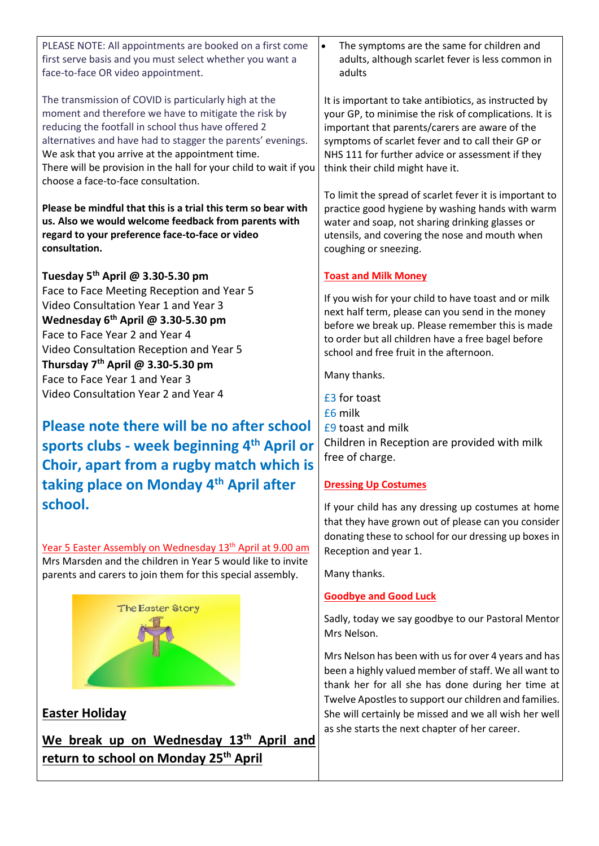| PLEASE NOTE: All appointments are booked on a first come<br>first serve basis and you must select whether you want a<br>face-to-face OR video appointment.                                                                                                                                                                                                                                         | The symptoms are the same for children and<br>$\bullet$<br>adults, although scarlet fever is less common in<br>adults                                                                                                                                                                                         |  |
|----------------------------------------------------------------------------------------------------------------------------------------------------------------------------------------------------------------------------------------------------------------------------------------------------------------------------------------------------------------------------------------------------|---------------------------------------------------------------------------------------------------------------------------------------------------------------------------------------------------------------------------------------------------------------------------------------------------------------|--|
| The transmission of COVID is particularly high at the<br>moment and therefore we have to mitigate the risk by<br>reducing the footfall in school thus have offered 2<br>alternatives and have had to stagger the parents' evenings.<br>We ask that you arrive at the appointment time.<br>There will be provision in the hall for your child to wait if you<br>choose a face-to-face consultation. | It is important to take antibiotics, as instructed by<br>your GP, to minimise the risk of complications. It is<br>important that parents/carers are aware of the<br>symptoms of scarlet fever and to call their GP or<br>NHS 111 for further advice or assessment if they<br>think their child might have it. |  |
| Please be mindful that this is a trial this term so bear with<br>us. Also we would welcome feedback from parents with<br>regard to your preference face-to-face or video<br>consultation.                                                                                                                                                                                                          | To limit the spread of scarlet fever it is important to<br>practice good hygiene by washing hands with warm<br>water and soap, not sharing drinking glasses or<br>utensils, and covering the nose and mouth when<br>coughing or sneezing.                                                                     |  |
| Tuesday 5 <sup>th</sup> April @ 3.30-5.30 pm                                                                                                                                                                                                                                                                                                                                                       | <b>Toast and Milk Money</b>                                                                                                                                                                                                                                                                                   |  |
| Face to Face Meeting Reception and Year 5<br>Video Consultation Year 1 and Year 3<br>Wednesday $6^{th}$ April @ 3.30-5.30 pm<br>Face to Face Year 2 and Year 4<br>Video Consultation Reception and Year 5                                                                                                                                                                                          | If you wish for your child to have toast and or milk<br>next half term, please can you send in the money<br>before we break up. Please remember this is made<br>to order but all children have a free bagel before<br>school and free fruit in the afternoon.                                                 |  |
| Thursday 7 <sup>th</sup> April @ 3.30-5.30 pm<br>Face to Face Year 1 and Year 3                                                                                                                                                                                                                                                                                                                    | Many thanks.                                                                                                                                                                                                                                                                                                  |  |
| Video Consultation Year 2 and Year 4                                                                                                                                                                                                                                                                                                                                                               | £3 for toast<br>£6 milk                                                                                                                                                                                                                                                                                       |  |
| Please note there will be no after school                                                                                                                                                                                                                                                                                                                                                          | £9 toast and milk                                                                                                                                                                                                                                                                                             |  |
| sports clubs - week beginning 4 <sup>th</sup> April or                                                                                                                                                                                                                                                                                                                                             | Children in Reception are provided with milk<br>free of charge.                                                                                                                                                                                                                                               |  |
| Choir, apart from a rugby match which is                                                                                                                                                                                                                                                                                                                                                           |                                                                                                                                                                                                                                                                                                               |  |
| taking place on Monday 4 <sup>th</sup> April after                                                                                                                                                                                                                                                                                                                                                 | <b>Dressing Up Costumes</b>                                                                                                                                                                                                                                                                                   |  |
| school.                                                                                                                                                                                                                                                                                                                                                                                            | If your child has any dressing up costumes at home<br>that they have grown out of please can you consider<br>donating these to school for our dressing up boxes in                                                                                                                                            |  |
| Year 5 Easter Assembly on Wednesday 13 <sup>th</sup> April at 9.00 am                                                                                                                                                                                                                                                                                                                              | Reception and year 1.                                                                                                                                                                                                                                                                                         |  |
| Mrs Marsden and the children in Year 5 would like to invite<br>parents and carers to join them for this special assembly.                                                                                                                                                                                                                                                                          | Many thanks.                                                                                                                                                                                                                                                                                                  |  |
|                                                                                                                                                                                                                                                                                                                                                                                                    |                                                                                                                                                                                                                                                                                                               |  |
| The Easter Story                                                                                                                                                                                                                                                                                                                                                                                   | <b>Goodbye and Good Luck</b><br>Sadly, today we say goodbye to our Pastoral Mentor                                                                                                                                                                                                                            |  |
|                                                                                                                                                                                                                                                                                                                                                                                                    | Mrs Nelson.                                                                                                                                                                                                                                                                                                   |  |

Mrs Nelson has been with us for over 4 years and has been a highly valued member of staff. We all want to thank her for all she has done during her time at Twelve Apostles to support our children and families. She will certainly be missed and we all wish her well as she starts the next chapter of her career.

# **Easter Holiday**

**We break up on Wednesday 13th April and return to school on Monday 25th April**